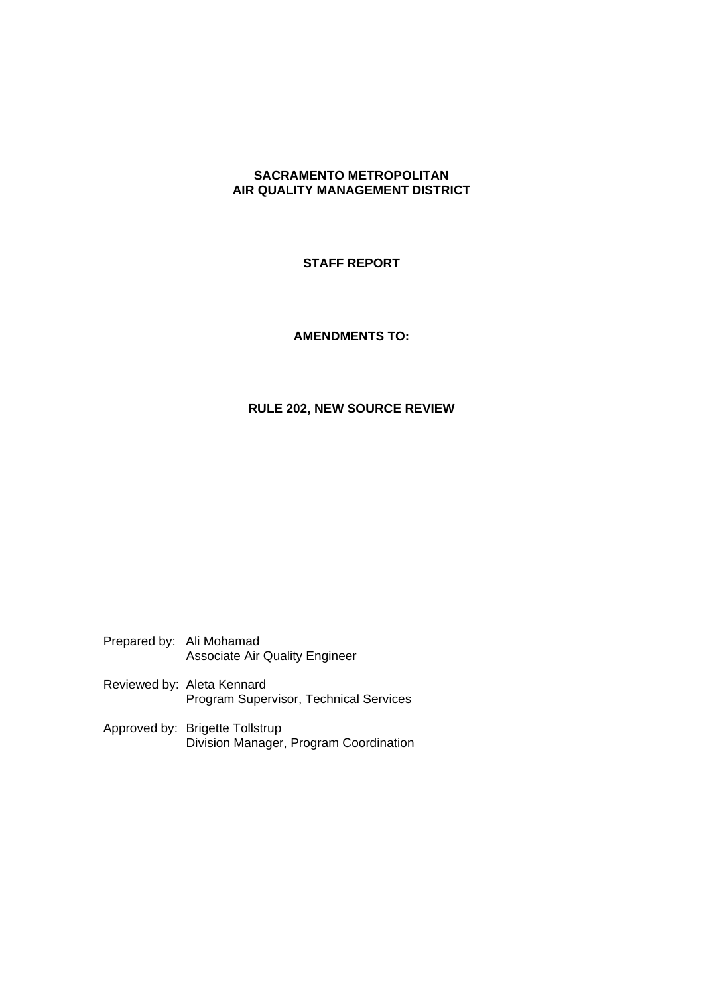## **SACRAMENTO METROPOLITAN AIR QUALITY MANAGEMENT DISTRICT**

## **STAFF REPORT**

## **AMENDMENTS TO:**

## **RULE 202, NEW SOURCE REVIEW**

Prepared by: Ali Mohamad Associate Air Quality Engineer

Reviewed by: Aleta Kennard Program Supervisor, Technical Services

Approved by: Brigette Tollstrup Division Manager, Program Coordination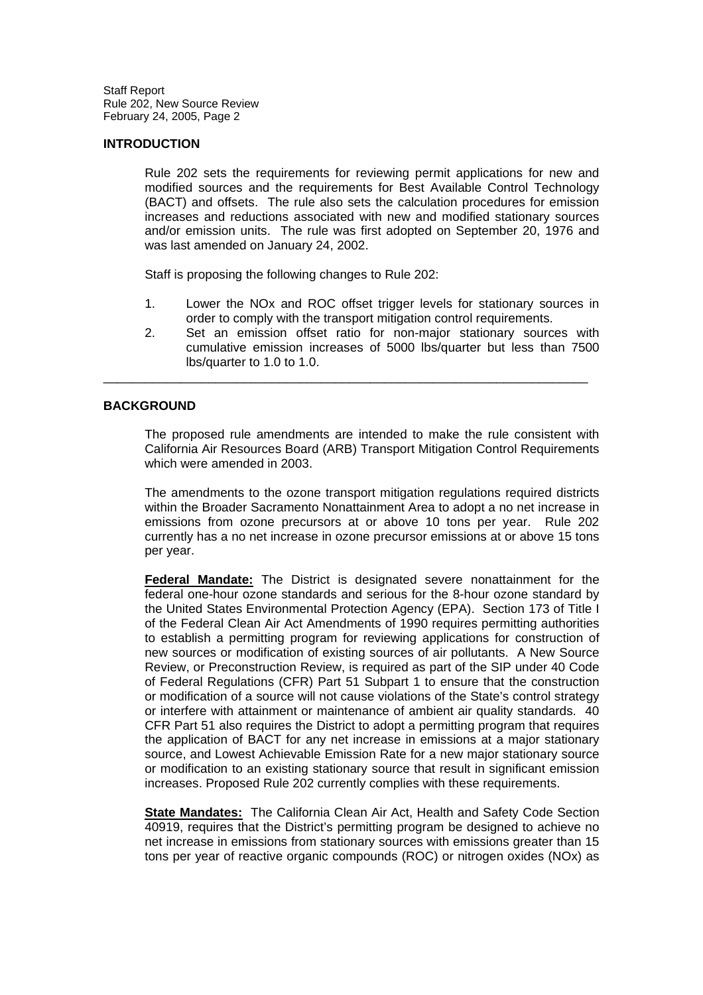### **INTRODUCTION**

Rule 202 sets the requirements for reviewing permit applications for new and modified sources and the requirements for Best Available Control Technology (BACT) and offsets. The rule also sets the calculation procedures for emission increases and reductions associated with new and modified stationary sources and/or emission units. The rule was first adopted on September 20, 1976 and was last amended on January 24, 2002.

Staff is proposing the following changes to Rule 202:

- 1. Lower the NOx and ROC offset trigger levels for stationary sources in order to comply with the transport mitigation control requirements.
- 2. Set an emission offset ratio for non-major stationary sources with cumulative emission increases of 5000 lbs/quarter but less than 7500 lbs/quarter to 1.0 to 1.0.

\_\_\_\_\_\_\_\_\_\_\_\_\_\_\_\_\_\_\_\_\_\_\_\_\_\_\_\_\_\_\_\_\_\_\_\_\_\_\_\_\_\_\_\_\_\_\_\_\_\_\_\_\_\_\_\_\_\_\_\_\_\_\_\_\_\_\_\_\_

### **BACKGROUND**

The proposed rule amendments are intended to make the rule consistent with California Air Resources Board (ARB) Transport Mitigation Control Requirements which were amended in 2003.

The amendments to the ozone transport mitigation regulations required districts within the Broader Sacramento Nonattainment Area to adopt a no net increase in emissions from ozone precursors at or above 10 tons per year. Rule 202 currently has a no net increase in ozone precursor emissions at or above 15 tons per year.

**Federal Mandate:** The District is designated severe nonattainment for the federal one-hour ozone standards and serious for the 8-hour ozone standard by the United States Environmental Protection Agency (EPA). Section 173 of Title I of the Federal Clean Air Act Amendments of 1990 requires permitting authorities to establish a permitting program for reviewing applications for construction of new sources or modification of existing sources of air pollutants. A New Source Review, or Preconstruction Review, is required as part of the SIP under 40 Code of Federal Regulations (CFR) Part 51 Subpart 1 to ensure that the construction or modification of a source will not cause violations of the State's control strategy or interfere with attainment or maintenance of ambient air quality standards. 40 CFR Part 51 also requires the District to adopt a permitting program that requires the application of BACT for any net increase in emissions at a major stationary source, and Lowest Achievable Emission Rate for a new major stationary source or modification to an existing stationary source that result in significant emission increases. Proposed Rule 202 currently complies with these requirements.

**State Mandates:** The California Clean Air Act, Health and Safety Code Section 40919, requires that the District's permitting program be designed to achieve no net increase in emissions from stationary sources with emissions greater than 15 tons per year of reactive organic compounds (ROC) or nitrogen oxides (NOx) as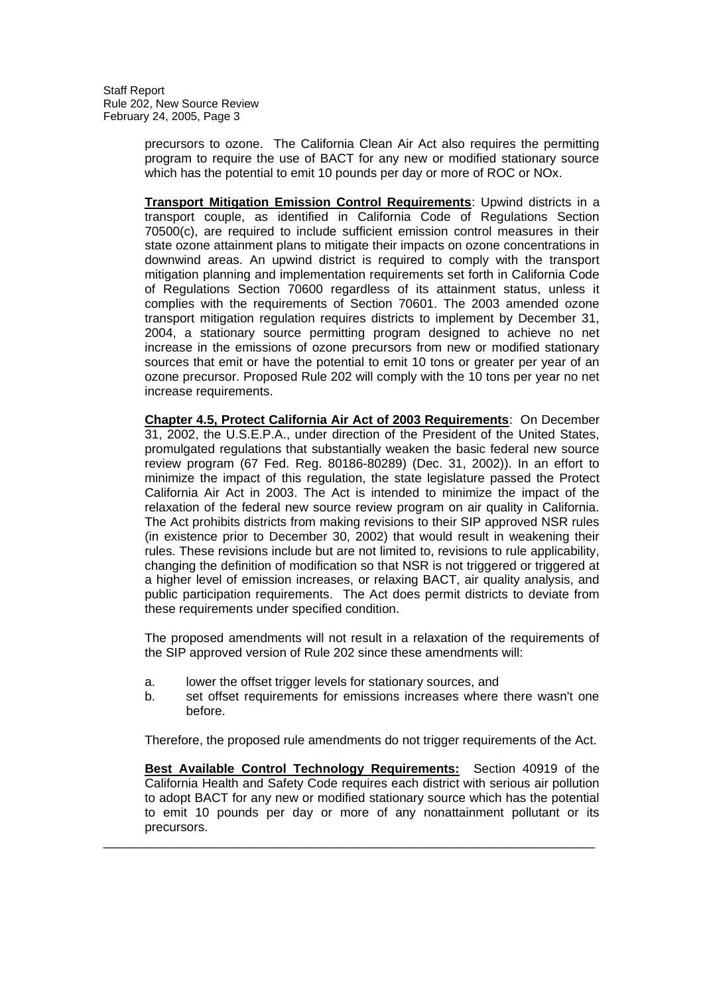> precursors to ozone. The California Clean Air Act also requires the permitting program to require the use of BACT for any new or modified stationary source which has the potential to emit 10 pounds per day or more of ROC or NOx.

> **Transport Mitigation Emission Control Requirements**: Upwind districts in a transport couple, as identified in California Code of Regulations Section 70500(c), are required to include sufficient emission control measures in their state ozone attainment plans to mitigate their impacts on ozone concentrations in downwind areas. An upwind district is required to comply with the transport mitigation planning and implementation requirements set forth in California Code of Regulations Section 70600 regardless of its attainment status, unless it complies with the requirements of Section 70601. The 2003 amended ozone transport mitigation regulation requires districts to implement by December 31, 2004, a stationary source permitting program designed to achieve no net increase in the emissions of ozone precursors from new or modified stationary sources that emit or have the potential to emit 10 tons or greater per year of an ozone precursor. Proposed Rule 202 will comply with the 10 tons per year no net increase requirements.

> **Chapter 4.5, Protect California Air Act of 2003 Requirements**: On December 31, 2002, the U.S.E.P.A., under direction of the President of the United States, promulgated regulations that substantially weaken the basic federal new source review program (67 Fed. Reg. 80186-80289) (Dec. 31, 2002)). In an effort to minimize the impact of this regulation, the state legislature passed the Protect California Air Act in 2003. The Act is intended to minimize the impact of the relaxation of the federal new source review program on air quality in California. The Act prohibits districts from making revisions to their SIP approved NSR rules (in existence prior to December 30, 2002) that would result in weakening their rules. These revisions include but are not limited to, revisions to rule applicability, changing the definition of modification so that NSR is not triggered or triggered at a higher level of emission increases, or relaxing BACT, air quality analysis, and public participation requirements. The Act does permit districts to deviate from these requirements under specified condition.

> The proposed amendments will not result in a relaxation of the requirements of the SIP approved version of Rule 202 since these amendments will:

- a. lower the offset trigger levels for stationary sources, and
- b. set offset requirements for emissions increases where there wasn't one before.

Therefore, the proposed rule amendments do not trigger requirements of the Act.

**Best Available Control Technology Requirements:** Section 40919 of the California Health and Safety Code requires each district with serious air pollution to adopt BACT for any new or modified stationary source which has the potential to emit 10 pounds per day or more of any nonattainment pollutant or its precursors.

\_\_\_\_\_\_\_\_\_\_\_\_\_\_\_\_\_\_\_\_\_\_\_\_\_\_\_\_\_\_\_\_\_\_\_\_\_\_\_\_\_\_\_\_\_\_\_\_\_\_\_\_\_\_\_\_\_\_\_\_\_\_\_\_\_\_\_\_\_\_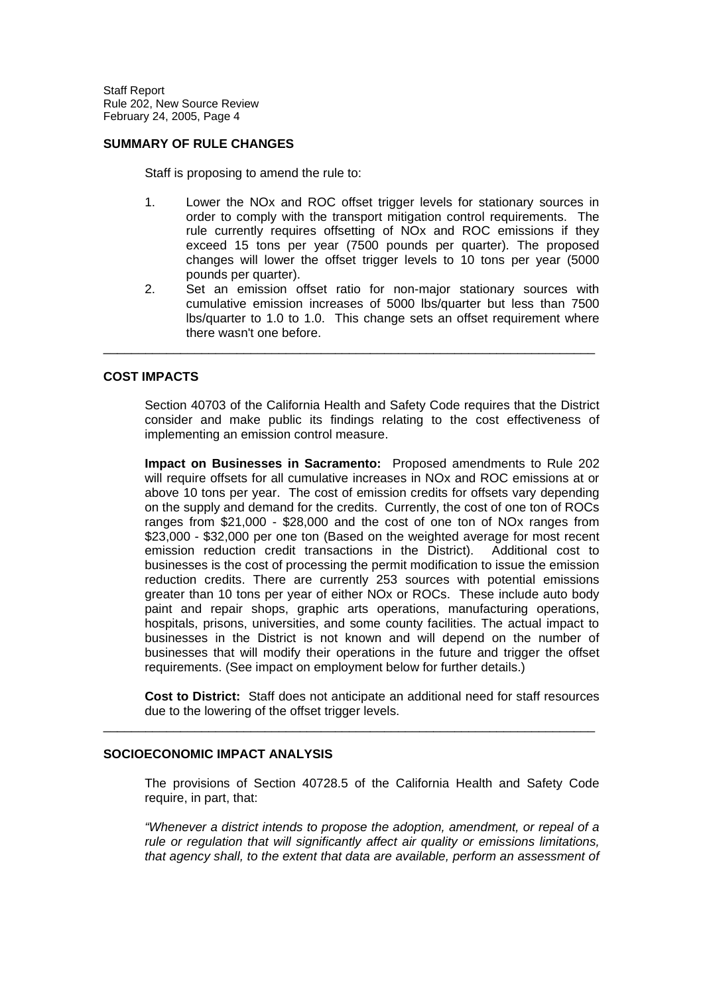### **SUMMARY OF RULE CHANGES**

Staff is proposing to amend the rule to:

- 1. Lower the NOx and ROC offset trigger levels for stationary sources in order to comply with the transport mitigation control requirements. The rule currently requires offsetting of NOx and ROC emissions if they exceed 15 tons per year (7500 pounds per quarter). The proposed changes will lower the offset trigger levels to 10 tons per year (5000 pounds per quarter).
- 2. Set an emission offset ratio for non-major stationary sources with cumulative emission increases of 5000 lbs/quarter but less than 7500 lbs/quarter to 1.0 to 1.0. This change sets an offset requirement where there wasn't one before.

\_\_\_\_\_\_\_\_\_\_\_\_\_\_\_\_\_\_\_\_\_\_\_\_\_\_\_\_\_\_\_\_\_\_\_\_\_\_\_\_\_\_\_\_\_\_\_\_\_\_\_\_\_\_\_\_\_\_\_\_\_\_\_\_\_\_\_\_\_\_

### **COST IMPACTS**

Section 40703 of the California Health and Safety Code requires that the District consider and make public its findings relating to the cost effectiveness of implementing an emission control measure.

**Impact on Businesses in Sacramento:** Proposed amendments to Rule 202 will require offsets for all cumulative increases in NOx and ROC emissions at or above 10 tons per year. The cost of emission credits for offsets vary depending on the supply and demand for the credits. Currently, the cost of one ton of ROCs ranges from \$21,000 - \$28,000 and the cost of one ton of NOx ranges from \$23,000 - \$32,000 per one ton (Based on the weighted average for most recent emission reduction credit transactions in the District). Additional cost to businesses is the cost of processing the permit modification to issue the emission reduction credits. There are currently 253 sources with potential emissions greater than 10 tons per year of either NOx or ROCs. These include auto body paint and repair shops, graphic arts operations, manufacturing operations, hospitals, prisons, universities, and some county facilities. The actual impact to businesses in the District is not known and will depend on the number of businesses that will modify their operations in the future and trigger the offset requirements. (See impact on employment below for further details.)

**Cost to District:** Staff does not anticipate an additional need for staff resources due to the lowering of the offset trigger levels.

\_\_\_\_\_\_\_\_\_\_\_\_\_\_\_\_\_\_\_\_\_\_\_\_\_\_\_\_\_\_\_\_\_\_\_\_\_\_\_\_\_\_\_\_\_\_\_\_\_\_\_\_\_\_\_\_\_\_\_\_\_\_\_\_\_\_\_\_\_\_

#### **SOCIOECONOMIC IMPACT ANALYSIS**

The provisions of Section 40728.5 of the California Health and Safety Code require, in part, that:

*"Whenever a district intends to propose the adoption, amendment, or repeal of a rule or regulation that will significantly affect air quality or emissions limitations, that agency shall, to the extent that data are available, perform an assessment of*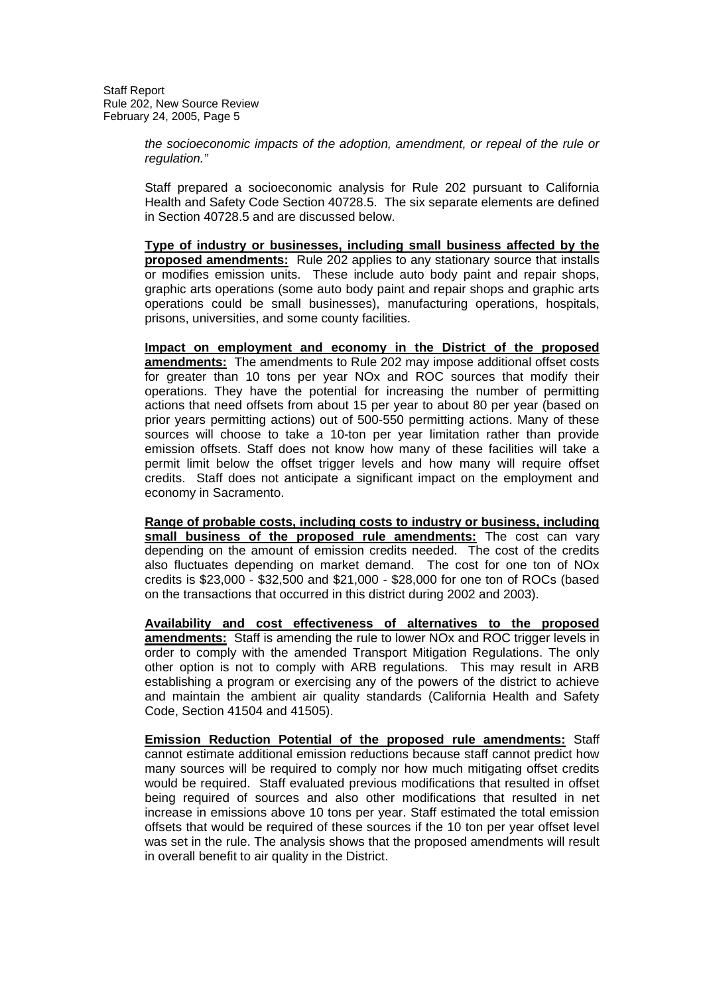> *the socioeconomic impacts of the adoption, amendment, or repeal of the rule or regulation."*

> Staff prepared a socioeconomic analysis for Rule 202 pursuant to California Health and Safety Code Section 40728.5. The six separate elements are defined in Section 40728.5 and are discussed below.

> **Type of industry or businesses, including small business affected by the proposed amendments:** Rule 202 applies to any stationary source that installs or modifies emission units. These include auto body paint and repair shops, graphic arts operations (some auto body paint and repair shops and graphic arts operations could be small businesses), manufacturing operations, hospitals, prisons, universities, and some county facilities.

> **Impact on employment and economy in the District of the proposed amendments:** The amendments to Rule 202 may impose additional offset costs for greater than 10 tons per year NOx and ROC sources that modify their operations. They have the potential for increasing the number of permitting actions that need offsets from about 15 per year to about 80 per year (based on prior years permitting actions) out of 500-550 permitting actions. Many of these sources will choose to take a 10-ton per year limitation rather than provide emission offsets. Staff does not know how many of these facilities will take a permit limit below the offset trigger levels and how many will require offset credits. Staff does not anticipate a significant impact on the employment and economy in Sacramento.

> **Range of probable costs, including costs to industry or business, including small business of the proposed rule amendments:** The cost can vary depending on the amount of emission credits needed. The cost of the credits also fluctuates depending on market demand. The cost for one ton of NOx credits is \$23,000 - \$32,500 and \$21,000 - \$28,000 for one ton of ROCs (based on the transactions that occurred in this district during 2002 and 2003).

> **Availability and cost effectiveness of alternatives to the proposed amendments:** Staff is amending the rule to lower NOx and ROC trigger levels in order to comply with the amended Transport Mitigation Regulations. The only other option is not to comply with ARB regulations. This may result in ARB establishing a program or exercising any of the powers of the district to achieve and maintain the ambient air quality standards (California Health and Safety Code, Section 41504 and 41505).

> **Emission Reduction Potential of the proposed rule amendments:** Staff cannot estimate additional emission reductions because staff cannot predict how many sources will be required to comply nor how much mitigating offset credits would be required. Staff evaluated previous modifications that resulted in offset being required of sources and also other modifications that resulted in net increase in emissions above 10 tons per year. Staff estimated the total emission offsets that would be required of these sources if the 10 ton per year offset level was set in the rule. The analysis shows that the proposed amendments will result in overall benefit to air quality in the District.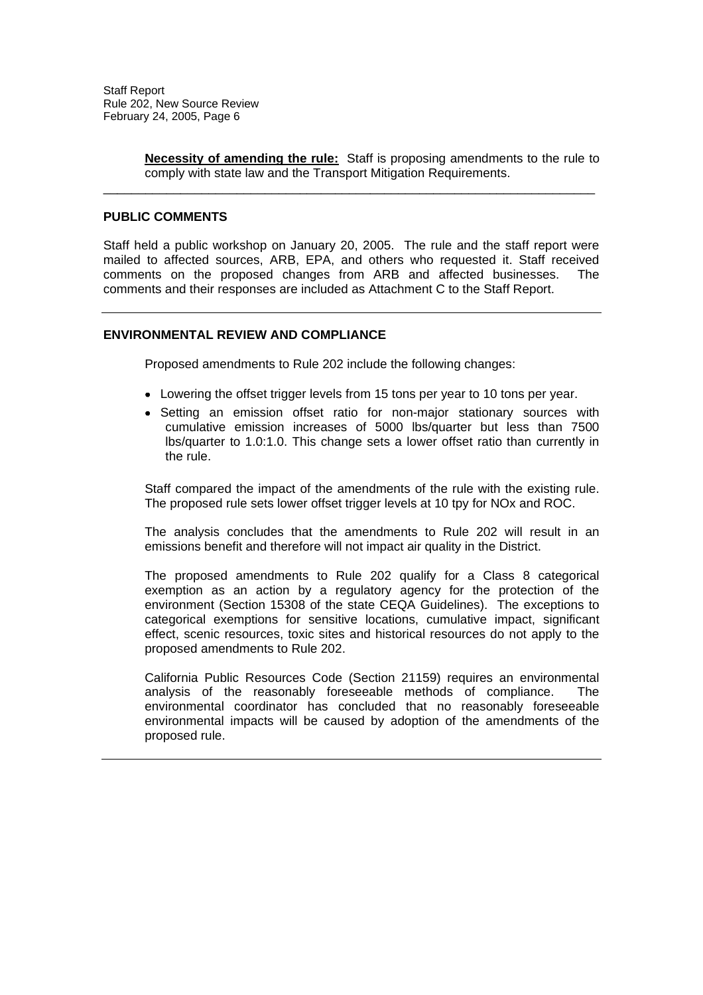**Necessity of amending the rule:** Staff is proposing amendments to the rule to comply with state law and the Transport Mitigation Requirements.

### **PUBLIC COMMENTS**

Staff held a public workshop on January 20, 2005. The rule and the staff report were mailed to affected sources, ARB, EPA, and others who requested it. Staff received comments on the proposed changes from ARB and affected businesses. The comments and their responses are included as Attachment C to the Staff Report.

\_\_\_\_\_\_\_\_\_\_\_\_\_\_\_\_\_\_\_\_\_\_\_\_\_\_\_\_\_\_\_\_\_\_\_\_\_\_\_\_\_\_\_\_\_\_\_\_\_\_\_\_\_\_\_\_\_\_\_\_\_\_\_\_\_\_\_\_\_\_

### **ENVIRONMENTAL REVIEW AND COMPLIANCE**

Proposed amendments to Rule 202 include the following changes:

- Lowering the offset trigger levels from 15 tons per year to 10 tons per year.
- Setting an emission offset ratio for non-major stationary sources with cumulative emission increases of 5000 lbs/quarter but less than 7500 lbs/quarter to 1.0:1.0. This change sets a lower offset ratio than currently in the rule.

Staff compared the impact of the amendments of the rule with the existing rule. The proposed rule sets lower offset trigger levels at 10 tpy for NOx and ROC.

The analysis concludes that the amendments to Rule 202 will result in an emissions benefit and therefore will not impact air quality in the District.

The proposed amendments to Rule 202 qualify for a Class 8 categorical exemption as an action by a regulatory agency for the protection of the environment (Section 15308 of the state CEQA Guidelines). The exceptions to categorical exemptions for sensitive locations, cumulative impact, significant effect, scenic resources, toxic sites and historical resources do not apply to the proposed amendments to Rule 202.

California Public Resources Code (Section 21159) requires an environmental analysis of the reasonably foreseeable methods of compliance. The environmental coordinator has concluded that no reasonably foreseeable environmental impacts will be caused by adoption of the amendments of the proposed rule.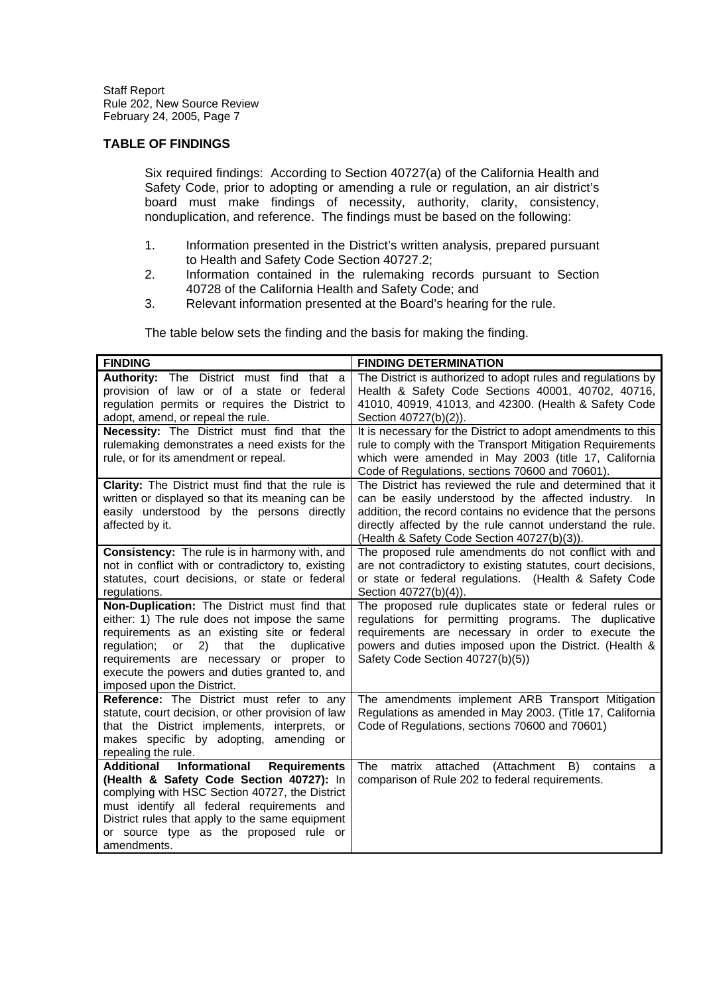### **TABLE OF FINDINGS**

Six required findings: According to Section 40727(a) of the California Health and Safety Code, prior to adopting or amending a rule or regulation, an air district's board must make findings of necessity, authority, clarity, consistency, nonduplication, and reference. The findings must be based on the following:

- 1. Information presented in the District's written analysis, prepared pursuant to Health and Safety Code Section 40727.2;
- 2. Information contained in the rulemaking records pursuant to Section 40728 of the California Health and Safety Code; and
- 3. Relevant information presented at the Board's hearing for the rule.

The table below sets the finding and the basis for making the finding.

| <b>FINDING</b>                                                                                                                                                                                                                                                                                                           | <b>FINDING DETERMINATION</b>                                                                                                                                                                                                                                                                 |
|--------------------------------------------------------------------------------------------------------------------------------------------------------------------------------------------------------------------------------------------------------------------------------------------------------------------------|----------------------------------------------------------------------------------------------------------------------------------------------------------------------------------------------------------------------------------------------------------------------------------------------|
| <b>Authority:</b> The District must find that a<br>provision of law or of a state or federal<br>regulation permits or requires the District to<br>adopt, amend, or repeal the rule.                                                                                                                                      | The District is authorized to adopt rules and regulations by<br>Health & Safety Code Sections 40001, 40702, 40716,<br>41010, 40919, 41013, and 42300. (Health & Safety Code<br>Section 40727(b)(2)).                                                                                         |
| Necessity: The District must find that the<br>rulemaking demonstrates a need exists for the<br>rule, or for its amendment or repeal.                                                                                                                                                                                     | It is necessary for the District to adopt amendments to this<br>rule to comply with the Transport Mitigation Requirements<br>which were amended in May 2003 (title 17, California<br>Code of Regulations, sections 70600 and 70601).                                                         |
| Clarity: The District must find that the rule is<br>written or displayed so that its meaning can be<br>easily understood by the persons directly<br>affected by it.                                                                                                                                                      | The District has reviewed the rule and determined that it<br>can be easily understood by the affected industry. In<br>addition, the record contains no evidence that the persons<br>directly affected by the rule cannot understand the rule.<br>(Health & Safety Code Section 40727(b)(3)). |
| <b>Consistency:</b> The rule is in harmony with, and<br>not in conflict with or contradictory to, existing<br>statutes, court decisions, or state or federal<br>regulations.                                                                                                                                             | The proposed rule amendments do not conflict with and<br>are not contradictory to existing statutes, court decisions,<br>or state or federal regulations. (Health & Safety Code<br>Section 40727(b)(4)).                                                                                     |
| Non-Duplication: The District must find that<br>either: 1) The rule does not impose the same<br>requirements as an existing site or federal<br>2)<br>regulation; or<br>that the<br>duplicative<br>requirements are necessary or proper to<br>execute the powers and duties granted to, and<br>imposed upon the District. | The proposed rule duplicates state or federal rules or<br>regulations for permitting programs. The duplicative<br>requirements are necessary in order to execute the<br>powers and duties imposed upon the District. (Health &<br>Safety Code Section 40727(b)(5))                           |
| Reference: The District must refer to any<br>statute, court decision, or other provision of law<br>that the District implements, interprets, or<br>makes specific by adopting, amending or<br>repealing the rule.                                                                                                        | The amendments implement ARB Transport Mitigation<br>Regulations as amended in May 2003. (Title 17, California<br>Code of Regulations, sections 70600 and 70601)                                                                                                                             |
| <b>Additional</b><br>Informational<br><b>Requirements</b><br>(Health & Safety Code Section 40727): In<br>complying with HSC Section 40727, the District<br>must identify all federal requirements and<br>District rules that apply to the same equipment<br>or source type as the proposed rule or<br>amendments.        | B)<br>matrix<br>attached (Attachment<br>The<br>contains<br>a<br>comparison of Rule 202 to federal requirements.                                                                                                                                                                              |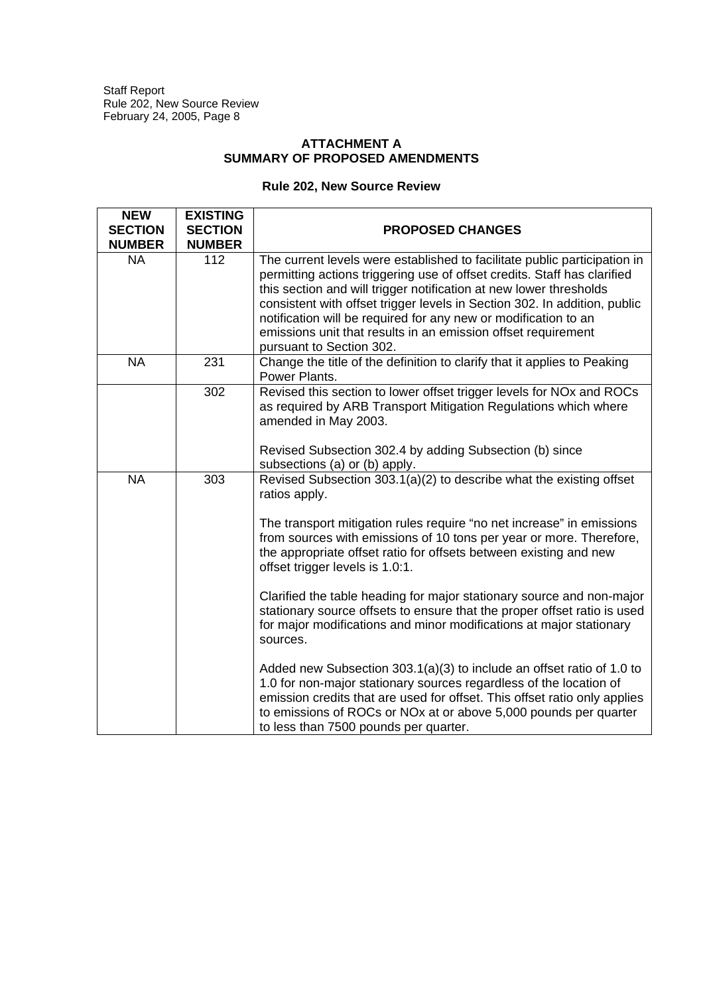## **ATTACHMENT A SUMMARY OF PROPOSED AMENDMENTS**

# **Rule 202, New Source Review**

| <b>NEW</b><br><b>SECTION</b><br><b>NUMBER</b> | <b>EXISTING</b><br><b>SECTION</b><br><b>NUMBER</b> | <b>PROPOSED CHANGES</b>                                                                                                                                                                                                                                                                                                                                                                                                                                                  |
|-----------------------------------------------|----------------------------------------------------|--------------------------------------------------------------------------------------------------------------------------------------------------------------------------------------------------------------------------------------------------------------------------------------------------------------------------------------------------------------------------------------------------------------------------------------------------------------------------|
| <b>NA</b>                                     | 112                                                | The current levels were established to facilitate public participation in<br>permitting actions triggering use of offset credits. Staff has clarified<br>this section and will trigger notification at new lower thresholds<br>consistent with offset trigger levels in Section 302. In addition, public<br>notification will be required for any new or modification to an<br>emissions unit that results in an emission offset requirement<br>pursuant to Section 302. |
| <b>NA</b>                                     | 231                                                | Change the title of the definition to clarify that it applies to Peaking<br>Power Plants.                                                                                                                                                                                                                                                                                                                                                                                |
|                                               | 302                                                | Revised this section to lower offset trigger levels for NOx and ROCs<br>as required by ARB Transport Mitigation Regulations which where<br>amended in May 2003.                                                                                                                                                                                                                                                                                                          |
|                                               |                                                    | Revised Subsection 302.4 by adding Subsection (b) since<br>subsections (a) or (b) apply.                                                                                                                                                                                                                                                                                                                                                                                 |
| <b>NA</b><br>303                              |                                                    | Revised Subsection 303.1(a)(2) to describe what the existing offset<br>ratios apply.                                                                                                                                                                                                                                                                                                                                                                                     |
|                                               |                                                    | The transport mitigation rules require "no net increase" in emissions<br>from sources with emissions of 10 tons per year or more. Therefore,<br>the appropriate offset ratio for offsets between existing and new<br>offset trigger levels is 1.0:1.                                                                                                                                                                                                                     |
|                                               |                                                    | Clarified the table heading for major stationary source and non-major<br>stationary source offsets to ensure that the proper offset ratio is used<br>for major modifications and minor modifications at major stationary<br>sources.                                                                                                                                                                                                                                     |
|                                               |                                                    | Added new Subsection 303.1(a)(3) to include an offset ratio of 1.0 to<br>1.0 for non-major stationary sources regardless of the location of<br>emission credits that are used for offset. This offset ratio only applies<br>to emissions of ROCs or NOx at or above 5,000 pounds per quarter<br>to less than 7500 pounds per quarter.                                                                                                                                    |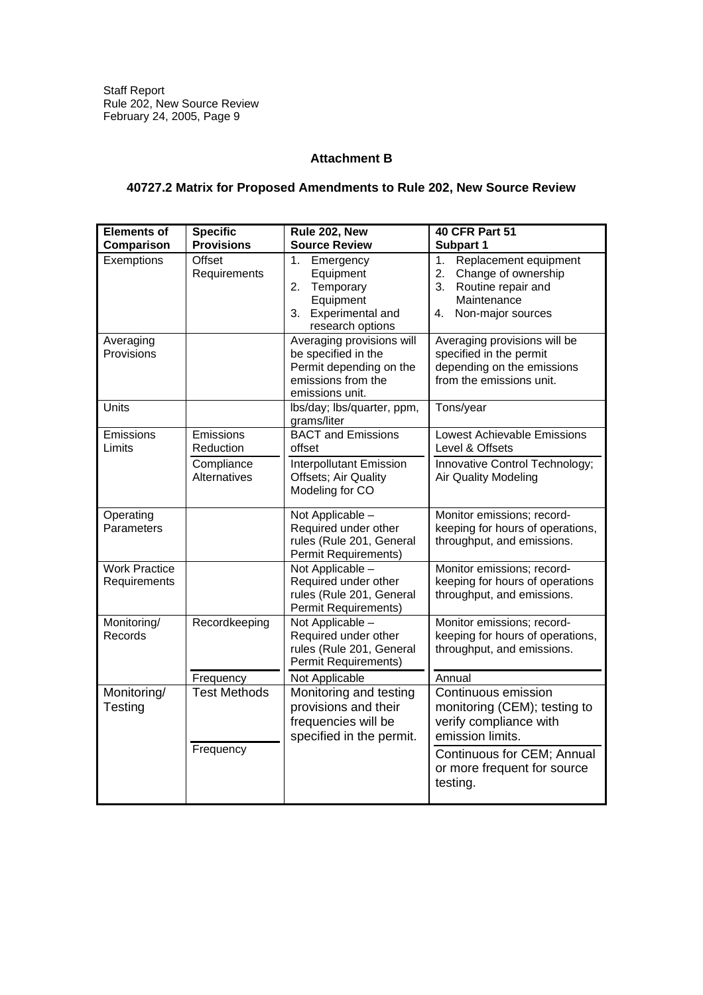## **Attachment B**

## **40727.2 Matrix for Proposed Amendments to Rule 202, New Source Review**

| <b>Elements of</b><br>Comparison     | <b>Specific</b><br><b>Provisions</b>                        | Rule 202, New<br><b>Source Review</b>                                                                                | <b>40 CFR Part 51</b><br>Subpart 1                                                                                             |
|--------------------------------------|-------------------------------------------------------------|----------------------------------------------------------------------------------------------------------------------|--------------------------------------------------------------------------------------------------------------------------------|
| Exemptions                           | <b>Offset</b><br>Requirements                               | 1.<br>Emergency<br>Equipment<br>Temporary<br>2.<br>Equipment<br>Experimental and<br>3.<br>research options           | Replacement equipment<br>1.<br>Change of ownership<br>2.<br>3.<br>Routine repair and<br>Maintenance<br>4.<br>Non-major sources |
| Averaging<br>Provisions              |                                                             | Averaging provisions will<br>be specified in the<br>Permit depending on the<br>emissions from the<br>emissions unit. | Averaging provisions will be<br>specified in the permit<br>depending on the emissions<br>from the emissions unit.              |
| Units                                |                                                             | lbs/day; lbs/quarter, ppm,<br>grams/liter                                                                            | Tons/year                                                                                                                      |
| Emissions<br>Limits                  | Emissions<br>Reduction<br>Compliance<br><b>Alternatives</b> | <b>BACT</b> and Emissions<br>offset<br><b>Interpollutant Emission</b><br>Offsets; Air Quality<br>Modeling for CO     | <b>Lowest Achievable Emissions</b><br>Level & Offsets<br>Innovative Control Technology;<br><b>Air Quality Modeling</b>         |
| Operating<br>Parameters              |                                                             | Not Applicable -<br>Required under other<br>rules (Rule 201, General<br>Permit Requirements)                         | Monitor emissions; record-<br>keeping for hours of operations,<br>throughput, and emissions.                                   |
| <b>Work Practice</b><br>Requirements |                                                             | Not Applicable -<br>Required under other<br>rules (Rule 201, General<br>Permit Requirements)                         | Monitor emissions; record-<br>keeping for hours of operations<br>throughput, and emissions.                                    |
| Monitoring/<br>Records               | Recordkeeping                                               | Not Applicable -<br>Required under other<br>rules (Rule 201, General<br>Permit Requirements)                         | Monitor emissions; record-<br>keeping for hours of operations,<br>throughput, and emissions.                                   |
|                                      | Frequency                                                   | Not Applicable                                                                                                       | Annual                                                                                                                         |
| Monitoring/<br>Testing               | <b>Test Methods</b>                                         | Monitoring and testing<br>provisions and their<br>frequencies will be<br>specified in the permit.                    | Continuous emission<br>monitoring (CEM); testing to<br>verify compliance with<br>emission limits.                              |
|                                      | Frequency                                                   |                                                                                                                      | Continuous for CEM; Annual<br>or more frequent for source<br>testing.                                                          |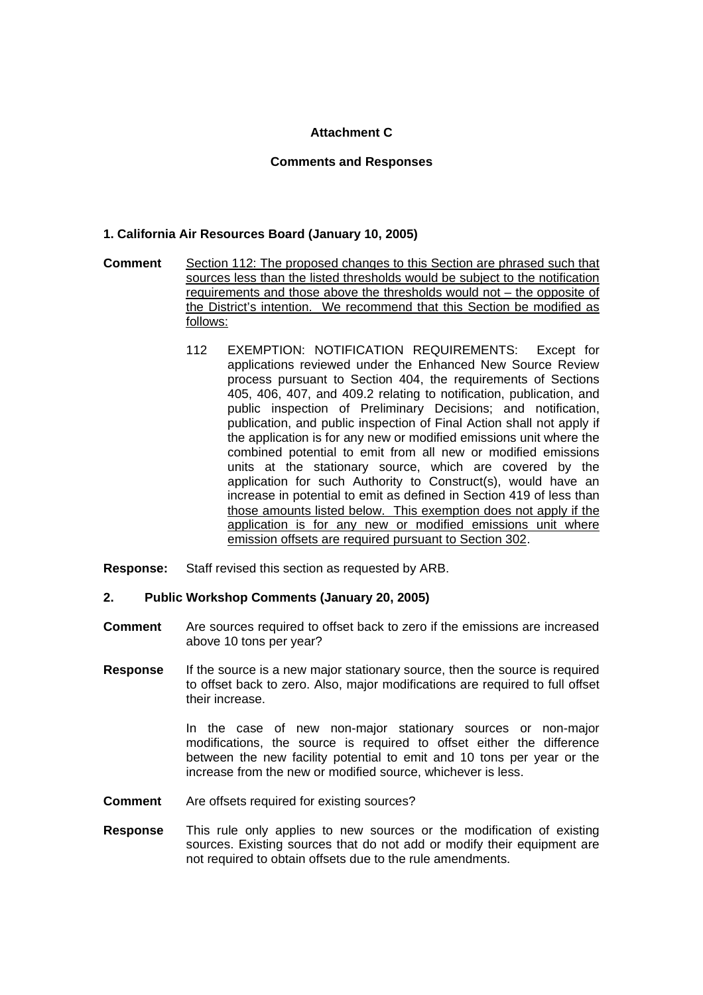## **Attachment C**

### **Comments and Responses**

## **1. California Air Resources Board (January 10, 2005)**

- **Comment** Section 112: The proposed changes to this Section are phrased such that sources less than the listed thresholds would be subject to the notification requirements and those above the thresholds would not – the opposite of the District's intention. We recommend that this Section be modified as follows:
	- 112 EXEMPTION: NOTIFICATION REQUIREMENTS: Except for applications reviewed under the Enhanced New Source Review process pursuant to Section 404, the requirements of Sections 405, 406, 407, and 409.2 relating to notification, publication, and public inspection of Preliminary Decisions; and notification, publication, and public inspection of Final Action shall not apply if the application is for any new or modified emissions unit where the combined potential to emit from all new or modified emissions units at the stationary source, which are covered by the application for such Authority to Construct(s), would have an increase in potential to emit as defined in Section 419 of less than those amounts listed below. This exemption does not apply if the application is for any new or modified emissions unit where emission offsets are required pursuant to Section 302.
- **Response:** Staff revised this section as requested by ARB.

### **2. Public Workshop Comments (January 20, 2005)**

- **Comment** Are sources required to offset back to zero if the emissions are increased above 10 tons per year?
- **Response** If the source is a new major stationary source, then the source is required to offset back to zero. Also, major modifications are required to full offset their increase.

In the case of new non-major stationary sources or non-major modifications, the source is required to offset either the difference between the new facility potential to emit and 10 tons per year or the increase from the new or modified source, whichever is less.

- **Comment** Are offsets required for existing sources?
- **Response** This rule only applies to new sources or the modification of existing sources. Existing sources that do not add or modify their equipment are not required to obtain offsets due to the rule amendments.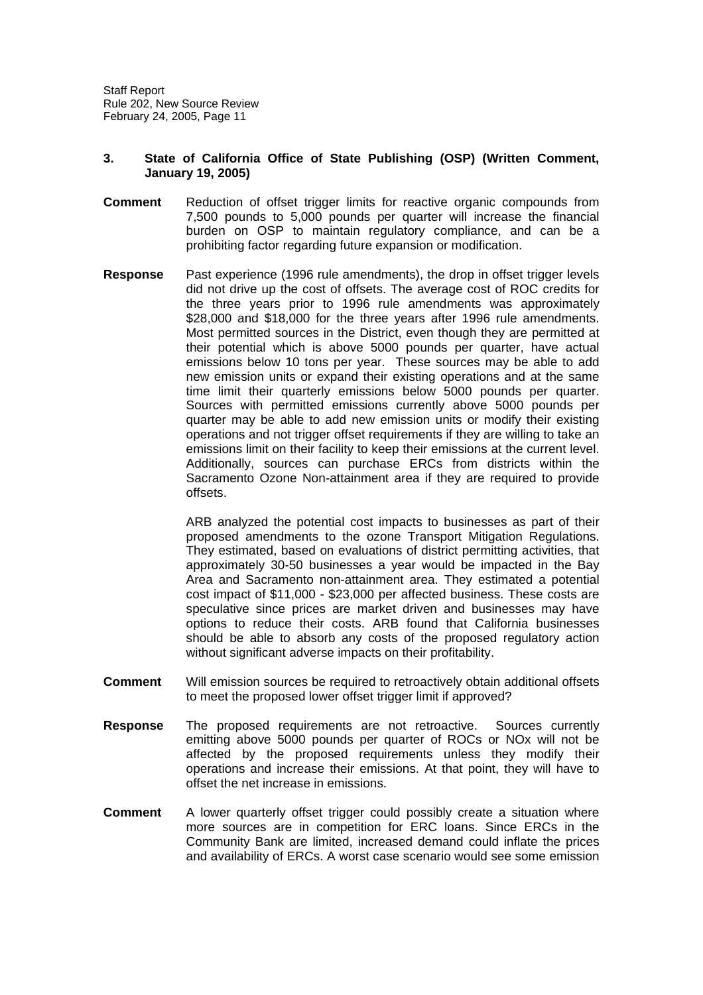### **3. State of California Office of State Publishing (OSP) (Written Comment, January 19, 2005)**

- **Comment** Reduction of offset trigger limits for reactive organic compounds from 7,500 pounds to 5,000 pounds per quarter will increase the financial burden on OSP to maintain regulatory compliance, and can be a prohibiting factor regarding future expansion or modification.
- **Response** Past experience (1996 rule amendments), the drop in offset trigger levels did not drive up the cost of offsets. The average cost of ROC credits for the three years prior to 1996 rule amendments was approximately \$28,000 and \$18,000 for the three years after 1996 rule amendments. Most permitted sources in the District, even though they are permitted at their potential which is above 5000 pounds per quarter, have actual emissions below 10 tons per year. These sources may be able to add new emission units or expand their existing operations and at the same time limit their quarterly emissions below 5000 pounds per quarter. Sources with permitted emissions currently above 5000 pounds per quarter may be able to add new emission units or modify their existing operations and not trigger offset requirements if they are willing to take an emissions limit on their facility to keep their emissions at the current level. Additionally, sources can purchase ERCs from districts within the Sacramento Ozone Non-attainment area if they are required to provide offsets.

ARB analyzed the potential cost impacts to businesses as part of their proposed amendments to the ozone Transport Mitigation Regulations. They estimated, based on evaluations of district permitting activities, that approximately 30-50 businesses a year would be impacted in the Bay Area and Sacramento non-attainment area. They estimated a potential cost impact of \$11,000 - \$23,000 per affected business. These costs are speculative since prices are market driven and businesses may have options to reduce their costs. ARB found that California businesses should be able to absorb any costs of the proposed regulatory action without significant adverse impacts on their profitability.

- **Comment** Will emission sources be required to retroactively obtain additional offsets to meet the proposed lower offset trigger limit if approved?
- **Response** The proposed requirements are not retroactive. Sources currently emitting above 5000 pounds per quarter of ROCs or NOx will not be affected by the proposed requirements unless they modify their operations and increase their emissions. At that point, they will have to offset the net increase in emissions.
- **Comment** A lower quarterly offset trigger could possibly create a situation where more sources are in competition for ERC loans. Since ERCs in the Community Bank are limited, increased demand could inflate the prices and availability of ERCs. A worst case scenario would see some emission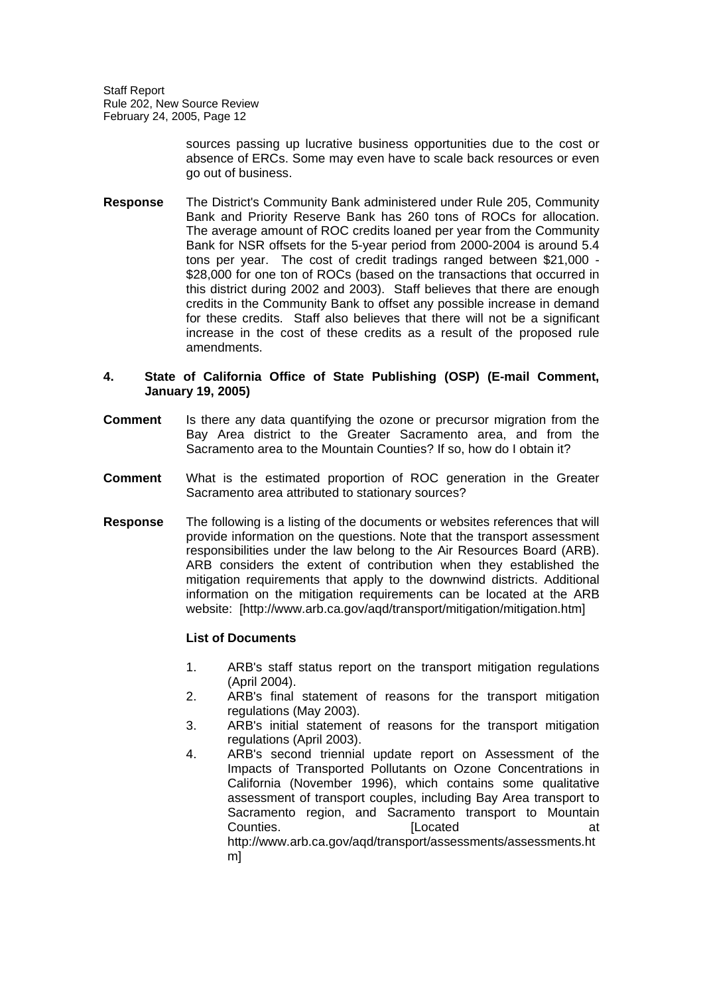> sources passing up lucrative business opportunities due to the cost or absence of ERCs. Some may even have to scale back resources or even go out of business.

**Response** The District's Community Bank administered under Rule 205, Community Bank and Priority Reserve Bank has 260 tons of ROCs for allocation. The average amount of ROC credits loaned per year from the Community Bank for NSR offsets for the 5-year period from 2000-2004 is around 5.4 tons per year. The cost of credit tradings ranged between \$21,000 - \$28,000 for one ton of ROCs (based on the transactions that occurred in this district during 2002 and 2003). Staff believes that there are enough credits in the Community Bank to offset any possible increase in demand for these credits. Staff also believes that there will not be a significant increase in the cost of these credits as a result of the proposed rule amendments.

### **4. State of California Office of State Publishing (OSP) (E-mail Comment, January 19, 2005)**

- **Comment** Is there any data quantifying the ozone or precursor migration from the Bay Area district to the Greater Sacramento area, and from the Sacramento area to the Mountain Counties? If so, how do I obtain it?
- **Comment** What is the estimated proportion of ROC generation in the Greater Sacramento area attributed to stationary sources?
- **Response** The following is a listing of the documents or websites references that will provide information on the questions. Note that the transport assessment responsibilities under the law belong to the Air Resources Board (ARB). ARB considers the extent of contribution when they established the mitigation requirements that apply to the downwind districts. Additional information on the mitigation requirements can be located at the ARB website: [http://www.arb.ca.gov/aqd/transport/mitigation/mitigation.htm]

### **List of Documents**

- 1. ARB's staff status report on the transport mitigation regulations (April 2004).
- 2. ARB's final statement of reasons for the transport mitigation regulations (May 2003).
- 3. ARB's initial statement of reasons for the transport mitigation regulations (April 2003).
- 4. ARB's second triennial update report on Assessment of the Impacts of Transported Pollutants on Ozone Concentrations in California (November 1996), which contains some qualitative assessment of transport couples, including Bay Area transport to Sacramento region, and Sacramento transport to Mountain **Counties. Counties at** http://www.arb.ca.gov/aqd/transport/assessments/assessments.ht m]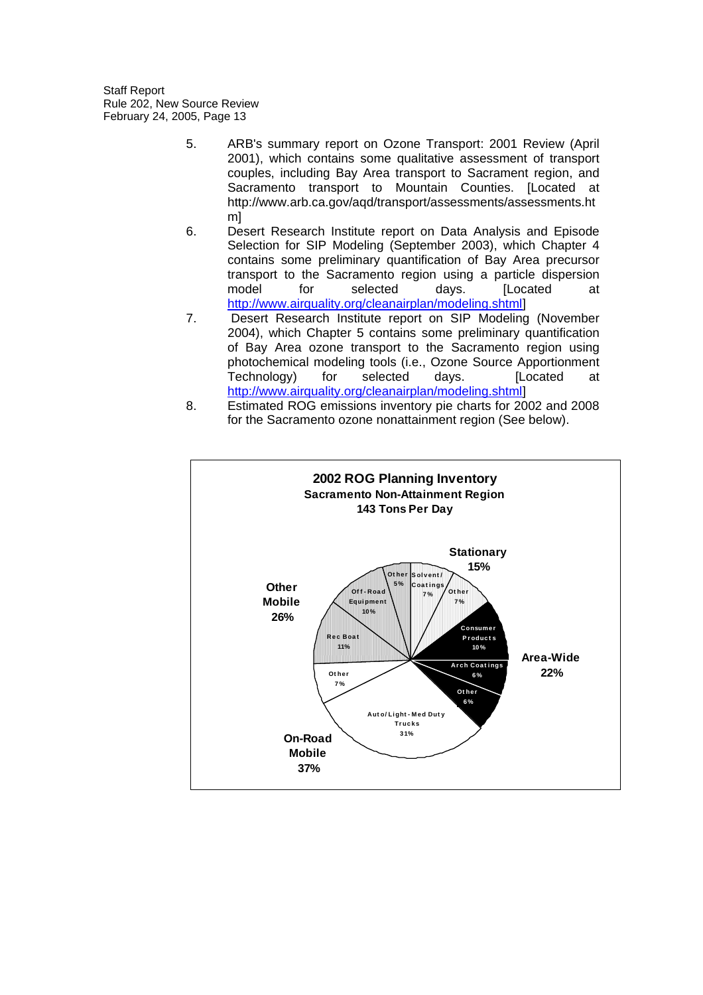- 5. ARB's summary report on Ozone Transport: 2001 Review (April 2001), which contains some qualitative assessment of transport couples, including Bay Area transport to Sacrament region, and Sacramento transport to Mountain Counties. [Located at http://www.arb.ca.gov/aqd/transport/assessments/assessments.ht m]
- 6. Desert Research Institute report on Data Analysis and Episode Selection for SIP Modeling (September 2003), which Chapter 4 contains some preliminary quantification of Bay Area precursor transport to the Sacramento region using a particle dispersion model for selected days. ILocated at http://www.airquality.org/cleanairplan/modeling.shtml]
- 7. Desert Research Institute report on SIP Modeling (November 2004), which Chapter 5 contains some preliminary quantification of Bay Area ozone transport to the Sacramento region using photochemical modeling tools (i.e., Ozone Source Apportionment Technology) for selected days. [Located at http://www.airquality.org/cleanairplan/modeling.shtml]
- 8. Estimated ROG emissions inventory pie charts for 2002 and 2008 for the Sacramento ozone nonattainment region (See below).